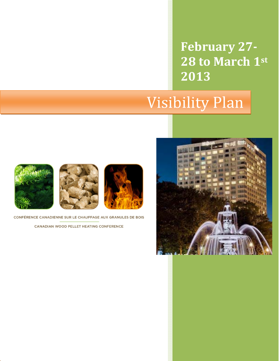**February 27‐ 28 to March 1st 2013**

# Visibility Plan







CONFÉRENCE CANADIENNE SUR LE CHAUFFAGE AUX GRANULES DE BOIS

CANADIAN WOOD PELLET HEATING CONFERENCE

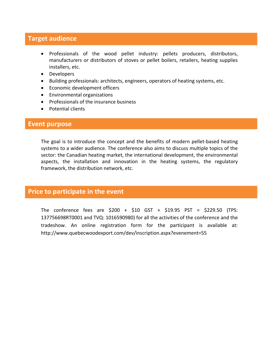### **Target audience**

- Professionals of the wood pellet industry: pellets producers, distributors, manufacturers or distributors of stoves or pellet boilers, retailers, heating supplies installers, etc.
- Developers
- Building professionals: architects, engineers, operators of heating systems, etc.
- Economic development officers
- Environmental organizations
- Professionals of the insurance business
- Potential clients

#### **Event purpose**

The goal is to introduce the concept and the benefits of modern pellet‐based heating systems to a wider audience. The conference also aims to discuss multiple topics of the sector: the Canadian heating market, the international development, the environmental aspects, the installation and innovation in the heating systems, the regulatory framework, the distribution network, etc.

#### **Price to participate in the event**

The conference fees are \$200 + \$10 GST + \$19.95 PST = \$229.50 (TPS: 137756698RT0001 and TVQ: 1016590980) for all the activities of the conference and the tradeshow. An online registration form for the participant is available at: http://www.quebecwoodexport.com/dev/inscription.aspx?evenement=55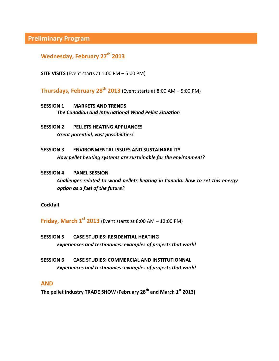**Preliminary Program**

**Wednesday, February 27th 2013**

**SITE VISITS** (Event starts at 1:00 PM – 5:00 PM)

**Thursdays, February**  $28^{th}$  $2013$  **(Event starts at 8:00 AM – 5:00 PM)** 

- **SESSION 1 MARKETS AND TRENDS** *The Canadian and International Wood Pellet Situation*
- **SESSION 2 PELLETS HEATING APPLIANCES**  *Great potential, vast possibilities!*
- **SESSION 3 ENVIRONMENTAL ISSUES AND SUSTAINABILITY** *How pellet heating systems are sustainable for the environment?*
- **SESSION 4 PANEL SESSION** *Challenges related to wood pellets heating in Canada: how to set this energy option as a fuel of the future?*

**Cocktail** 

**Friday, March 1st 2013** (Event starts at 8:00 AM – 12:00 PM)

- **SESSION 5 CASE STUDIES: RESIDENTIAL HEATING**  *Experiences and testimonies: examples of projects that work!*
- **SESSION 6 CASE STUDIES: COMMERCIAL AND INSTITUTIONNAL**  *Experiences and testimonies: examples of projects that work!*

#### **AND**

**The pellet industry TRADE SHOW** (**February 28th and March 1st 2013)**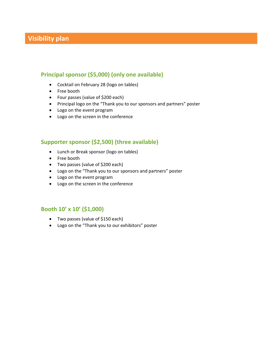## **Visibility plan**

#### **Principal sponsor (\$5,000) (only one available)**

- Cocktail on February 28 (logo on tables)
- Free booth
- Four passes (value of \$200 each)
- Principal logo on the "Thank you to our sponsors and partners" poster
- Logo on the event program
- Logo on the screen in the conference

#### **Supporter sponsor (\$2,500) (three available)**

- Lunch or Break sponsor (logo on tables)
- Free booth
- Two passes (value of \$200 each)
- Logo on the "Thank you to our sponsors and partners" poster
- Logo on the event program
- Logo on the screen in the conference

#### **Booth 10' x 10' (\$1,000)**

- Two passes (value of \$150 each)
- Logo on the "Thank you to our exhibitors" poster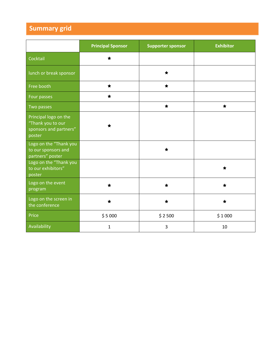# **Summary grid**

|                                                                                | <b>Principal Sponsor</b> | <b>Supporter sponsor</b> | <b>Exhibitor</b> |
|--------------------------------------------------------------------------------|--------------------------|--------------------------|------------------|
| Cocktail                                                                       |                          |                          |                  |
| lunch or break sponsor                                                         |                          | ◆                        |                  |
| Free booth                                                                     | ╈                        | ╈                        |                  |
| Four passes                                                                    | ╈                        |                          |                  |
| Two passes                                                                     |                          | ★                        | ★                |
| Principal logo on the<br>"Thank you to our<br>sponsors and partners"<br>poster |                          |                          |                  |
| Logo on the "Thank you<br>to our sponsors and<br>partners" poster              |                          |                          |                  |
| Logo on the "Thank you<br>to our exhibitors"<br>poster                         |                          |                          |                  |
| Logo on the event<br>program                                                   |                          |                          |                  |
| Logo on the screen in<br>the conference                                        |                          |                          |                  |
| Price                                                                          | \$5000                   | \$2500                   | \$1000           |
| Availability                                                                   | $\mathbf{1}$             | 3                        | 10               |